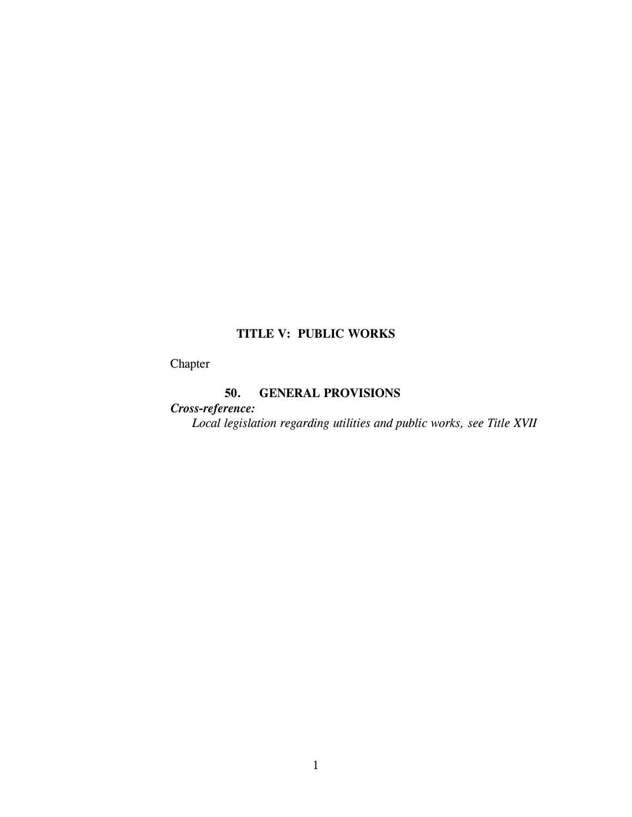# **TITLE V: PUBLIC WORKS**

Chapter

# **50. GENERAL PROVISIONS**

*Cross-reference: Local legislation regarding utilities and public works, see Title XVII*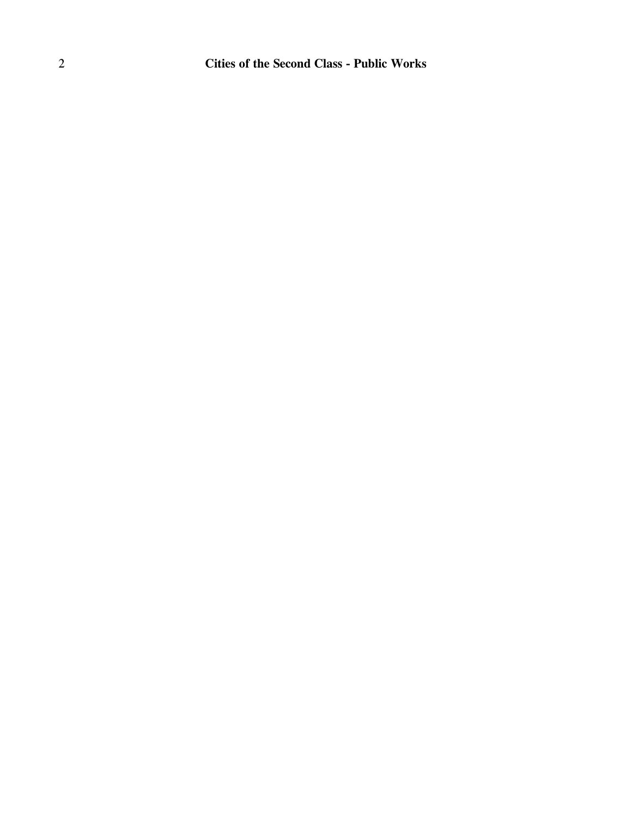**Cities of the Second Class - Public Works**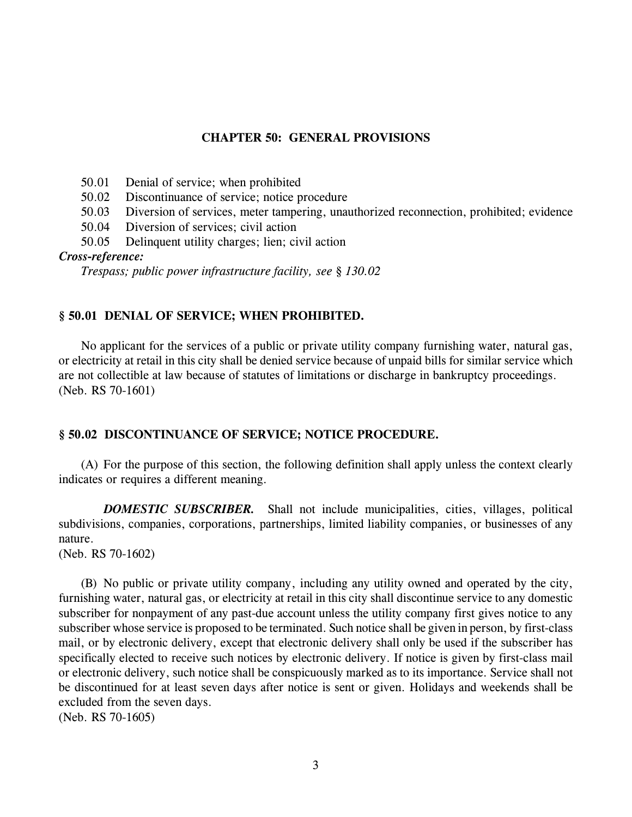## **CHAPTER 50: GENERAL PROVISIONS**

- 50.01 Denial of service; when prohibited
- 50.02 Discontinuance of service; notice procedure
- 50.03 Diversion of services, meter tampering, unauthorized reconnection, prohibited; evidence
- 50.04 Diversion of services; civil action
- 50.05 Delinquent utility charges; lien; civil action

#### *Cross-reference:*

*Trespass; public power infrastructure facility, see § 130.02*

### **§ 50.01 DENIAL OF SERVICE; WHEN PROHIBITED.**

No applicant for the services of a public or private utility company furnishing water, natural gas, or electricity at retail in this city shall be denied service because of unpaid bills for similar service which are not collectible at law because of statutes of limitations or discharge in bankruptcy proceedings. (Neb. RS 70-1601)

## **§ 50.02 DISCONTINUANCE OF SERVICE; NOTICE PROCEDURE.**

(A) For the purpose of this section, the following definition shall apply unless the context clearly indicates or requires a different meaning.

*DOMESTIC SUBSCRIBER.* Shall not include municipalities, cities, villages, political subdivisions, companies, corporations, partnerships, limited liability companies, or businesses of any nature.

(Neb. RS 70-1602)

(B) No public or private utility company, including any utility owned and operated by the city, furnishing water, natural gas, or electricity at retail in this city shall discontinue service to any domestic subscriber for nonpayment of any past-due account unless the utility company first gives notice to any subscriber whose service is proposed to be terminated. Such notice shall be given in person, by first-class mail, or by electronic delivery, except that electronic delivery shall only be used if the subscriber has specifically elected to receive such notices by electronic delivery. If notice is given by first-class mail or electronic delivery, such notice shall be conspicuously marked as to its importance. Service shall not be discontinued for at least seven days after notice is sent or given. Holidays and weekends shall be excluded from the seven days.

(Neb. RS 70-1605)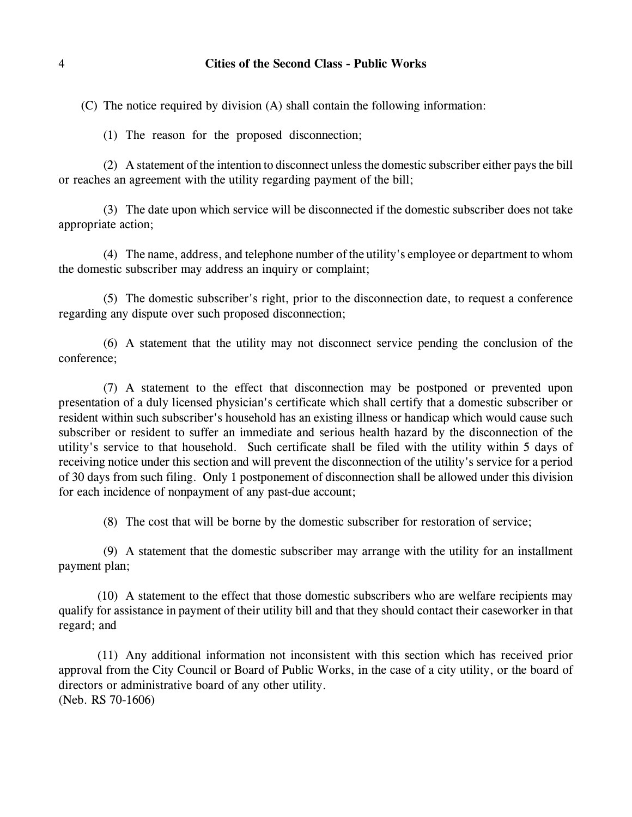(C) The notice required by division (A) shall contain the following information:

(1) The reason for the proposed disconnection;

(2) A statement of the intention to disconnect unless the domestic subscriber either pays the bill or reaches an agreement with the utility regarding payment of the bill;

(3) The date upon which service will be disconnected if the domestic subscriber does not take appropriate action;

(4) The name, address, and telephone number of the utility's employee or department to whom the domestic subscriber may address an inquiry or complaint;

(5) The domestic subscriber's right, prior to the disconnection date, to request a conference regarding any dispute over such proposed disconnection;

(6) A statement that the utility may not disconnect service pending the conclusion of the conference;

(7) A statement to the effect that disconnection may be postponed or prevented upon presentation of a duly licensed physician's certificate which shall certify that a domestic subscriber or resident within such subscriber's household has an existing illness or handicap which would cause such subscriber or resident to suffer an immediate and serious health hazard by the disconnection of the utility's service to that household. Such certificate shall be filed with the utility within 5 days of receiving notice under this section and will prevent the disconnection of the utility's service for a period of 30 days from such filing. Only 1 postponement of disconnection shall be allowed under this division for each incidence of nonpayment of any past-due account;

(8) The cost that will be borne by the domestic subscriber for restoration of service;

(9) A statement that the domestic subscriber may arrange with the utility for an installment payment plan;

(10) A statement to the effect that those domestic subscribers who are welfare recipients may qualify for assistance in payment of their utility bill and that they should contact their caseworker in that regard; and

(11) Any additional information not inconsistent with this section which has received prior approval from the City Council or Board of Public Works, in the case of a city utility, or the board of directors or administrative board of any other utility. (Neb. RS 70-1606)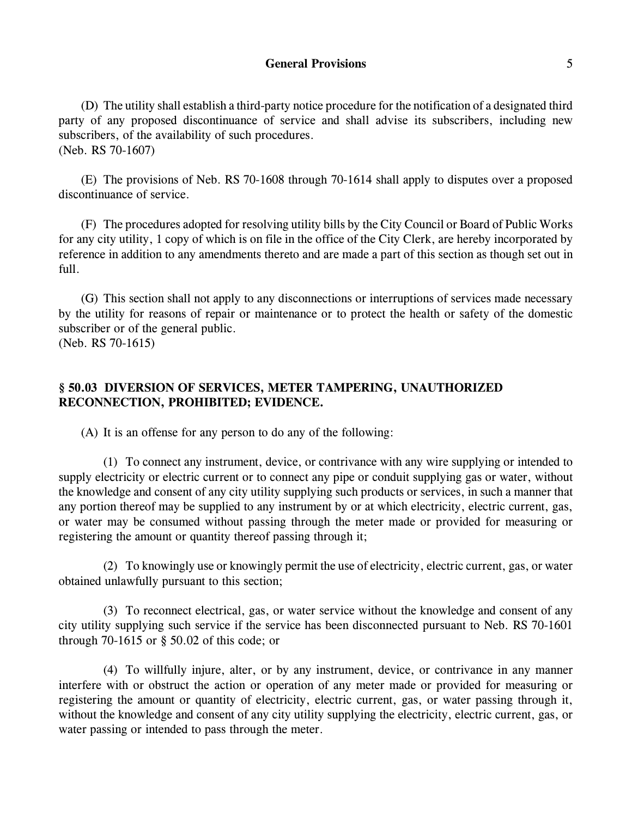## **General Provisions** 5

(D) The utility shall establish a third-party notice procedure for the notification of a designated third party of any proposed discontinuance of service and shall advise its subscribers, including new subscribers, of the availability of such procedures. (Neb. RS 70-1607)

(E) The provisions of Neb. RS 70-1608 through 70-1614 shall apply to disputes over a proposed discontinuance of service.

(F) The procedures adopted for resolving utility bills by the City Council or Board of Public Works for any city utility, 1 copy of which is on file in the office of the City Clerk, are hereby incorporated by reference in addition to any amendments thereto and are made a part of this section as though set out in full.

(G) This section shall not apply to any disconnections or interruptions of services made necessary by the utility for reasons of repair or maintenance or to protect the health or safety of the domestic subscriber or of the general public.

(Neb. RS 70-1615)

# **§ 50.03 DIVERSION OF SERVICES, METER TAMPERING, UNAUTHORIZED RECONNECTION, PROHIBITED; EVIDENCE.**

(A) It is an offense for any person to do any of the following:

(1) To connect any instrument, device, or contrivance with any wire supplying or intended to supply electricity or electric current or to connect any pipe or conduit supplying gas or water, without the knowledge and consent of any city utility supplying such products or services, in such a manner that any portion thereof may be supplied to any instrument by or at which electricity, electric current, gas, or water may be consumed without passing through the meter made or provided for measuring or registering the amount or quantity thereof passing through it;

(2) To knowingly use or knowingly permit the use of electricity, electric current, gas, or water obtained unlawfully pursuant to this section;

(3) To reconnect electrical, gas, or water service without the knowledge and consent of any city utility supplying such service if the service has been disconnected pursuant to Neb. RS 70-1601 through 70-1615 or § 50.02 of this code; or

(4) To willfully injure, alter, or by any instrument, device, or contrivance in any manner interfere with or obstruct the action or operation of any meter made or provided for measuring or registering the amount or quantity of electricity, electric current, gas, or water passing through it, without the knowledge and consent of any city utility supplying the electricity, electric current, gas, or water passing or intended to pass through the meter.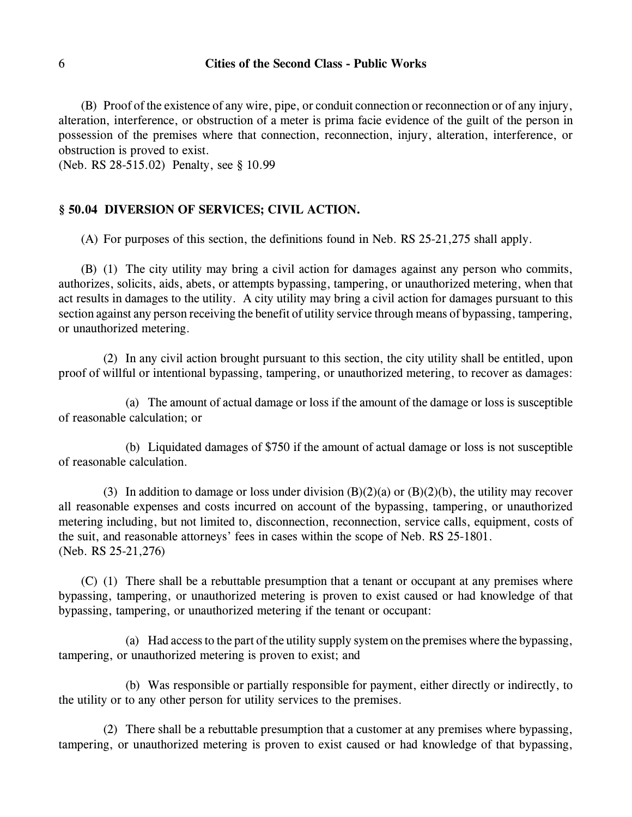## 6 **Cities of the Second Class - Public Works**

(B) Proof of the existence of any wire, pipe, or conduit connection or reconnection or of any injury, alteration, interference, or obstruction of a meter is prima facie evidence of the guilt of the person in possession of the premises where that connection, reconnection, injury, alteration, interference, or obstruction is proved to exist.

(Neb. RS 28-515.02) Penalty, see § 10.99

## **§ 50.04 DIVERSION OF SERVICES; CIVIL ACTION.**

(A) For purposes of this section, the definitions found in Neb. RS 25-21,275 shall apply.

(B) (1) The city utility may bring a civil action for damages against any person who commits, authorizes, solicits, aids, abets, or attempts bypassing, tampering, or unauthorized metering, when that act results in damages to the utility. A city utility may bring a civil action for damages pursuant to this section against any person receiving the benefit of utility service through means of bypassing, tampering, or unauthorized metering.

(2) In any civil action brought pursuant to this section, the city utility shall be entitled, upon proof of willful or intentional bypassing, tampering, or unauthorized metering, to recover as damages:

(a) The amount of actual damage or loss if the amount of the damage or loss is susceptible of reasonable calculation; or

(b) Liquidated damages of \$750 if the amount of actual damage or loss is not susceptible of reasonable calculation.

(3) In addition to damage or loss under division  $(B)(2)(a)$  or  $(B)(2)(b)$ , the utility may recover all reasonable expenses and costs incurred on account of the bypassing, tampering, or unauthorized metering including, but not limited to, disconnection, reconnection, service calls, equipment, costs of the suit, and reasonable attorneys' fees in cases within the scope of Neb. RS 25-1801. (Neb. RS 25-21,276)

(C) (1) There shall be a rebuttable presumption that a tenant or occupant at any premises where bypassing, tampering, or unauthorized metering is proven to exist caused or had knowledge of that bypassing, tampering, or unauthorized metering if the tenant or occupant:

(a) Had access to the part of the utility supply system on the premises where the bypassing, tampering, or unauthorized metering is proven to exist; and

(b) Was responsible or partially responsible for payment, either directly or indirectly, to the utility or to any other person for utility services to the premises.

(2) There shall be a rebuttable presumption that a customer at any premises where bypassing, tampering, or unauthorized metering is proven to exist caused or had knowledge of that bypassing,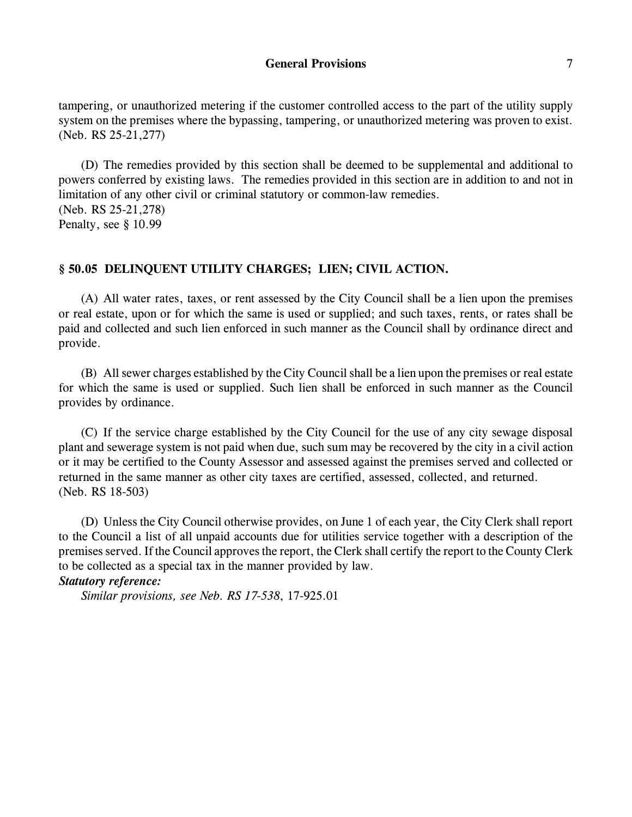tampering, or unauthorized metering if the customer controlled access to the part of the utility supply system on the premises where the bypassing, tampering, or unauthorized metering was proven to exist. (Neb. RS 25-21,277)

(D) The remedies provided by this section shall be deemed to be supplemental and additional to powers conferred by existing laws. The remedies provided in this section are in addition to and not in limitation of any other civil or criminal statutory or common-law remedies. (Neb. RS 25-21,278) Penalty, see § 10.99

## **§ 50.05 DELINQUENT UTILITY CHARGES; LIEN; CIVIL ACTION.**

(A) All water rates, taxes, or rent assessed by the City Council shall be a lien upon the premises or real estate, upon or for which the same is used or supplied; and such taxes, rents, or rates shall be paid and collected and such lien enforced in such manner as the Council shall by ordinance direct and provide.

(B) All sewer charges established by the City Council shall be a lien upon the premises or real estate for which the same is used or supplied. Such lien shall be enforced in such manner as the Council provides by ordinance.

(C) If the service charge established by the City Council for the use of any city sewage disposal plant and sewerage system is not paid when due, such sum may be recovered by the city in a civil action or it may be certified to the County Assessor and assessed against the premises served and collected or returned in the same manner as other city taxes are certified, assessed, collected, and returned. (Neb. RS 18-503)

(D) Unless the City Council otherwise provides, on June 1 of each year, the City Clerk shall report to the Council a list of all unpaid accounts due for utilities service together with a description of the premises served. If the Council approves the report, the Clerk shall certify the report to the County Clerk to be collected as a special tax in the manner provided by law.

## *Statutory reference:*

*Similar provisions, see Neb. RS 17-538*, 17-925.01